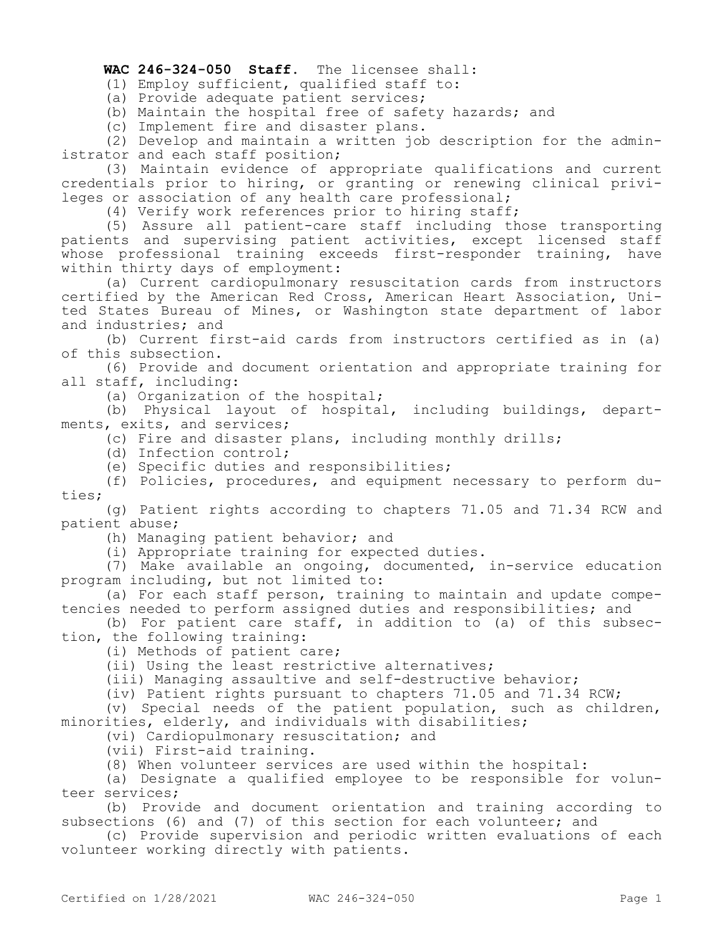## **WAC 246-324-050 Staff.** The licensee shall:

(1) Employ sufficient, qualified staff to:

(a) Provide adequate patient services;

(b) Maintain the hospital free of safety hazards; and

(c) Implement fire and disaster plans.

(2) Develop and maintain a written job description for the administrator and each staff position;

(3) Maintain evidence of appropriate qualifications and current credentials prior to hiring, or granting or renewing clinical privileges or association of any health care professional;

(4) Verify work references prior to hiring staff;

(5) Assure all patient-care staff including those transporting patients and supervising patient activities, except licensed staff whose professional training exceeds first-responder training, have within thirty days of employment:

(a) Current cardiopulmonary resuscitation cards from instructors certified by the American Red Cross, American Heart Association, United States Bureau of Mines, or Washington state department of labor and industries; and

(b) Current first-aid cards from instructors certified as in (a) of this subsection.

(6) Provide and document orientation and appropriate training for all staff, including:

(a) Organization of the hospital;

(b) Physical layout of hospital, including buildings, departments, exits, and services;

(c) Fire and disaster plans, including monthly drills;

(d) Infection control;

(e) Specific duties and responsibilities;

(f) Policies, procedures, and equipment necessary to perform duties;

(g) Patient rights according to chapters 71.05 and 71.34 RCW and patient abuse;

(h) Managing patient behavior; and

(i) Appropriate training for expected duties.

(7) Make available an ongoing, documented, in-service education program including, but not limited to:

(a) For each staff person, training to maintain and update competencies needed to perform assigned duties and responsibilities; and

(b) For patient care staff, in addition to (a) of this subsection, the following training:

(i) Methods of patient care;

(ii) Using the least restrictive alternatives;

(iii) Managing assaultive and self-destructive behavior;

(iv) Patient rights pursuant to chapters 71.05 and 71.34 RCW;

(v) Special needs of the patient population, such as children, minorities, elderly, and individuals with disabilities;

(vi) Cardiopulmonary resuscitation; and

(vii) First-aid training.

(8) When volunteer services are used within the hospital:

(a) Designate a qualified employee to be responsible for volunteer services;

(b) Provide and document orientation and training according to subsections (6) and (7) of this section for each volunteer; and

(c) Provide supervision and periodic written evaluations of each volunteer working directly with patients.